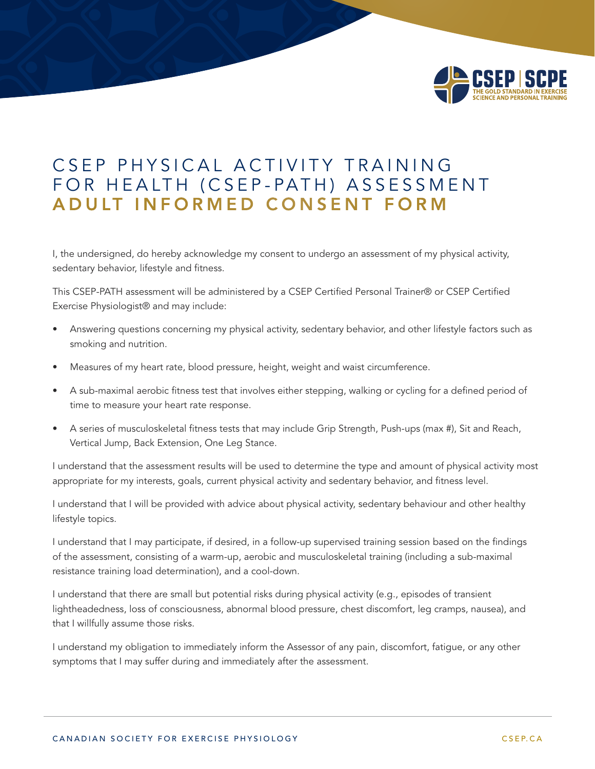

## CSEP PHYSICAL ACTIVITY TRAINING FOR HEALTH (CSEP-PATH) ASSESSMENT ADULT INFORMED CONSENT FORM

I, the undersigned, do hereby acknowledge my consent to undergo an assessment of my physical activity, sedentary behavior, lifestyle and fitness.

This CSEP-PATH assessment will be administered by a CSEP Certified Personal Trainer® or CSEP Certified Exercise Physiologist® and may include:

- Answering questions concerning my physical activity, sedentary behavior, and other lifestyle factors such as smoking and nutrition.
- Measures of my heart rate, blood pressure, height, weight and waist circumference.
- • A sub-maximal aerobic fitness test that involves either stepping, walking or cycling for a defined period of time to measure your heart rate response.
- A series of musculoskeletal fitness tests that may include Grip Strength, Push-ups (max #), Sit and Reach, Vertical Jump, Back Extension, One Leg Stance.

I understand that the assessment results will be used to determine the type and amount of physical activity most appropriate for my interests, goals, current physical activity and sedentary behavior, and fitness level.

I understand that I will be provided with advice about physical activity, sedentary behaviour and other healthy lifestyle topics.

I understand that I may participate, if desired, in a follow-up supervised training session based on the findings of the assessment, consisting of a warm-up, aerobic and musculoskeletal training (including a sub-maximal resistance training load determination), and a cool-down.

I understand that there are small but potential risks during physical activity (e.g., episodes of transient lightheadedness, loss of consciousness, abnormal blood pressure, chest discomfort, leg cramps, nausea), and that I willfully assume those risks.

I understand my obligation to immediately inform the Assessor of any pain, discomfort, fatigue, or any other symptoms that I may suffer during and immediately after the assessment.